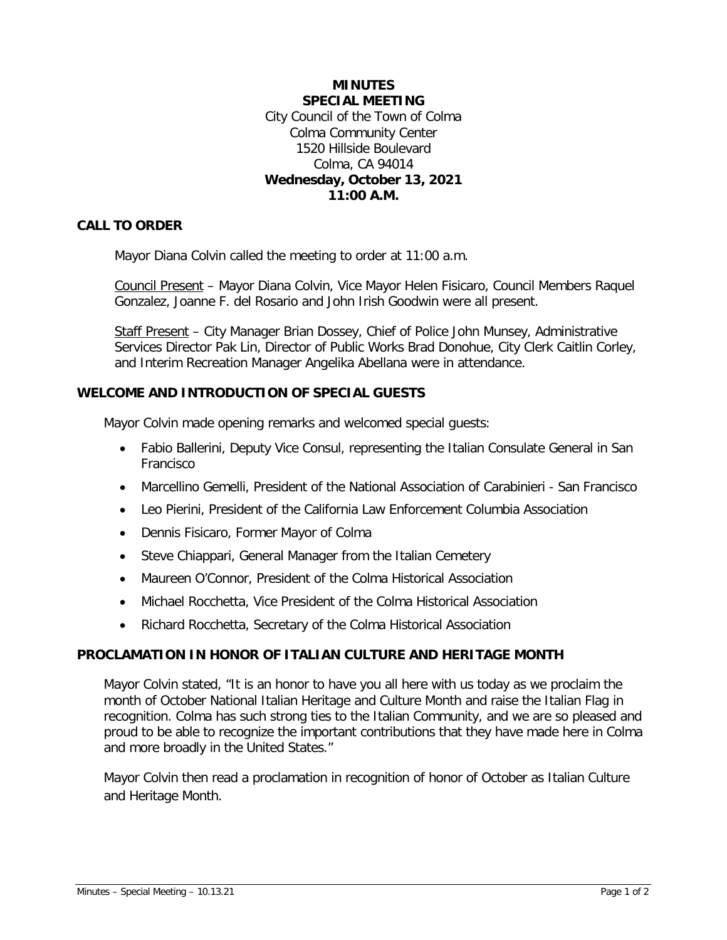## **MINUTES SPECIAL MEETING** City Council of the Town of Colma Colma Community Center 1520 Hillside Boulevard Colma, CA 94014 **Wednesday, October 13, 2021 11:00 A.M.**

## **CALL TO ORDER**

Mayor Diana Colvin called the meeting to order at 11:00 a.m.

Council Present – Mayor Diana Colvin, Vice Mayor Helen Fisicaro, Council Members Raquel Gonzalez, Joanne F. del Rosario and John Irish Goodwin were all present.

Staff Present - City Manager Brian Dossey, Chief of Police John Munsey, Administrative Services Director Pak Lin, Director of Public Works Brad Donohue, City Clerk Caitlin Corley, and Interim Recreation Manager Angelika Abellana were in attendance.

### **WELCOME AND INTRODUCTION OF SPECIAL GUESTS**

Mayor Colvin made opening remarks and welcomed special guests:

- Fabio Ballerini, Deputy Vice Consul, representing the Italian Consulate General in San Francisco
- Marcellino Gemelli, President of the National Association of Carabinieri San Francisco
- Leo Pierini, President of the California Law Enforcement Columbia Association
- Dennis Fisicaro, Former Mayor of Colma
- Steve Chiappari, General Manager from the Italian Cemetery
- Maureen O'Connor, President of the Colma Historical Association
- Michael Rocchetta, Vice President of the Colma Historical Association
- Richard Rocchetta, Secretary of the Colma Historical Association

### **PROCLAMATION IN HONOR OF ITALIAN CULTURE AND HERITAGE MONTH**

Mayor Colvin stated, "It is an honor to have you all here with us today as we proclaim the month of October National Italian Heritage and Culture Month and raise the Italian Flag in recognition. Colma has such strong ties to the Italian Community, and we are so pleased and proud to be able to recognize the important contributions that they have made here in Colma and more broadly in the United States."

Mayor Colvin then read a proclamation in recognition of honor of October as Italian Culture and Heritage Month.